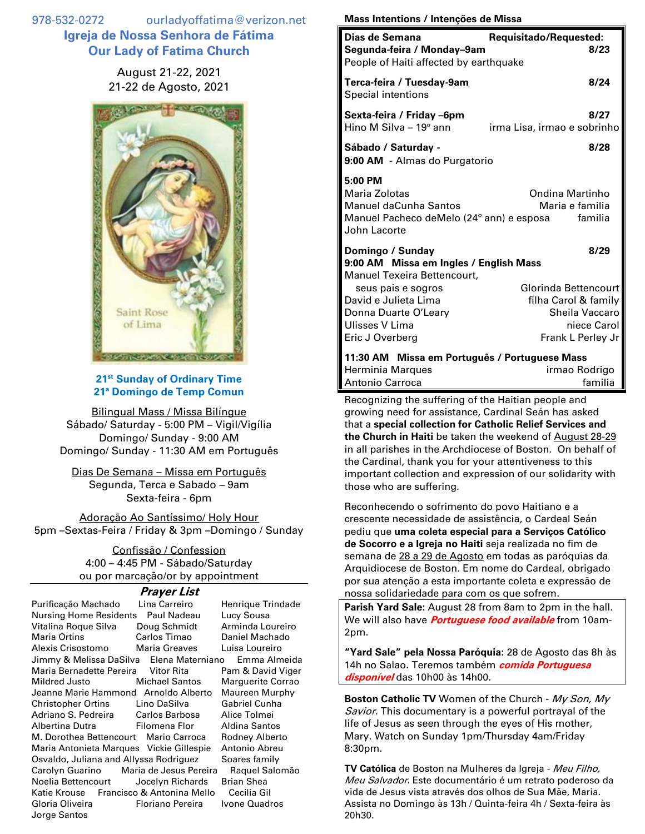978-532-0272 ourladyoffatima@verizon.net **Igreja de Nossa Senhora de Fátima Our Lady of Fatima Church**

> August 21-22, 2021 21-22 de Agosto, 2021



## **21st Sunday of Ordinary Time 21ª Domingo de Temp Comun**

Bilingual Mass / Missa Bilíngue Sábado/ Saturday - 5:00 PM – Vigil/Vigília Domingo/ Sunday - 9:00 AM Domingo/ Sunday - 11:30 AM em Português

Dias De Semana – Missa em Português Segunda, Terca e Sabado – 9am Sexta-feira - 6pm

Adoração Ao Santíssimo/ Holy Hour 5pm –Sextas-Feira / Friday & 3pm –Domingo / Sunday

> Confissão / Confession 4:00 – 4:45 PM - Sábado/Saturday ou por marcação/or by appointment

## **Prayer List**

| Purificação Machado                           | Lina Carreiro         | Henrique Trindade |
|-----------------------------------------------|-----------------------|-------------------|
|                                               |                       |                   |
| Nursing Home Residents Paul Nadeau            | Lucy Sousa            |                   |
| Vitalina Roque Silva                          | Doug Schmidt          | Arminda Loureiro  |
| Maria Ortins <b>Maria</b>                     | Carlos Timao          | Daniel Machado    |
| Alexis Crisostomo Maria Greaves               |                       | Luisa Loureiro    |
| Jimmy & Melissa DaSilva Elena Materniano      |                       | Emma Almeida      |
| Maria Bernadette Pereira Vitor Rita           |                       | Pam & David Viger |
| Mildred Justo                                 | <b>Michael Santos</b> | Marguerite Corrao |
| Jeanne Marie Hammond Arnoldo Alberto          |                       | Maureen Murphy    |
| Christopher Ortins                            | Lino DaSilva          | Gabriel Cunha     |
| Adriano S. Pedreira Carlos Barbosa            |                       | Alice Tolmei      |
| Albertina Dutra                 Filomena Flor |                       | Aldina Santos     |
| M. Dorothea Bettencourt Mario Carroca         |                       | Rodney Alberto    |
| Maria Antonieta Marques Vickie Gillespie      |                       | Antonio Abreu     |
| Osvaldo, Juliana and Allyssa Rodriguez        |                       | Soares family     |
| Carolyn Guarino Maria de Jesus Pereira        |                       | Raquel Salomão    |
| Noelia Bettencourt Jocelyn Richards           |                       | Brian Shea        |
| Katie Krouse Francisco & Antonina Mello       |                       | Cecilia Gil       |
| Gloria Oliveira                               | Floriano Pereira      | Ivone Quadros     |
| Jorge Santos                                  |                       |                   |

## **Mass Intentions / Intenções de Missa**

| Dias de Semana<br>Segunda-feira / Monday-9am<br>People of Haiti affected by earthquake                                                                                                                      | Requisitado/Requested:<br>8/23                                                                             |
|-------------------------------------------------------------------------------------------------------------------------------------------------------------------------------------------------------------|------------------------------------------------------------------------------------------------------------|
| Terca-feira / Tuesday-9am<br><b>Special intentions</b>                                                                                                                                                      | 8/24                                                                                                       |
| Sexta-feira / Friday –6pm<br>Hino M Silva - $19^\circ$ ann                                                                                                                                                  | 8/27<br>irma Lisa, irmao e sobrinho                                                                        |
| Sábado / Saturday -<br>9:00 AM - Almas do Purgatorio                                                                                                                                                        | 8/28                                                                                                       |
| 5:00 PM<br>Maria Zolotas<br><b>Manuel daCunha Santos</b><br>Manuel Pacheco deMelo (24° ann) e esposa familia<br>John Lacorte                                                                                | Ondina Martinho<br>Maria e familia                                                                         |
| Domingo / Sunday<br>9:00 AM Missa em Ingles / English Mass<br><b>Manuel Texeira Bettencourt.</b><br>seus pais e sogros<br>David e Julieta Lima<br>Donna Duarte O'Leary<br>Ulisses V Lima<br>Eric J Overberg | 8/29<br>Glorinda Bettencourt<br>filha Carol & family<br>Sheila Vaccaro<br>niece Carol<br>Frank L Perley Jr |
| 11:30 AM Missa em Português / Portuguese Mass<br>Herminia Marques<br><b>Antonio Carroca</b>                                                                                                                 | irmao Rodrigo<br>familia                                                                                   |

Recognizing the suffering of the Haitian people and growing need for assistance, Cardinal Seán has asked that a **special collection for Catholic Relief Services and the Church in Haiti** be taken the weekend of August 28-29 in all parishes in the Archdiocese of Boston. On behalf of the Cardinal, thank you for your attentiveness to this important collection and expression of our solidarity with those who are suffering.

Reconhecendo o sofrimento do povo Haitiano e a crescente necessidade de assistência, o Cardeal Seán pediu que **uma coleta especial para a Serviços Católico de Socorro e a Igreja no Haiti** seja realizada no fim de semana de 28 a 29 de Agosto em todas as paróquias da Arquidiocese de Boston. Em nome do Cardeal, obrigado por sua atenção a esta importante coleta e expressão de nossa solidariedade para com os que sofrem.

**Parish Yard Sale:** August 28 from 8am to 2pm in the hall. We will also have **Portuguese food available** from 10am-2pm.

**"Yard Sale" pela Nossa Paróquia:** 28 de Agosto das 8h às 14h no Salao**.** Teremos também **comida Portuguesa disponível** das 10h00 às 14h00.

**Boston Catholic TV** Women of the Church - My Son, My Savior. This documentary is a powerful portrayal of the life of Jesus as seen through the eyes of His mother, Mary. Watch on Sunday 1pm/Thursday 4am/Friday 8:30pm.

**TV Católica** de Boston na Mulheres da Igreja - Meu Filho, Meu Salvador. Este documentário é um retrato poderoso da vida de Jesus vista através dos olhos de Sua Mãe, Maria. Assista no Domingo às 13h / Quinta-feira 4h / Sexta-feira às 20h30.